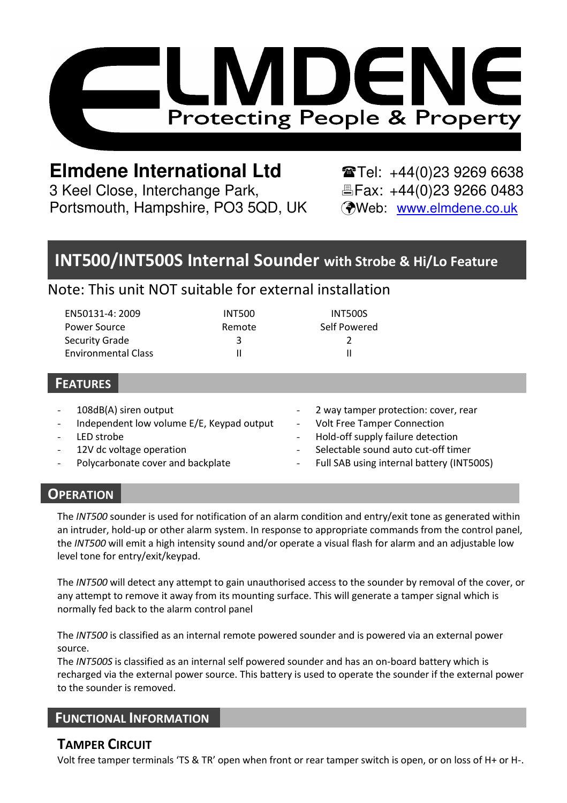

# **Elmdene International Ltd**  $\bullet$  **Tel:** +44(0)23 9269 6638

3 Keel Close, Interchange Park, Fax: +44(0)23 9266 0483 Portsmouth, Hampshire, PO3 5QD, UK (Web: www.elmdene.co.uk

# **INT500/INT500S Internal Sounder with Strobe & Hi/Lo Feature**

## Note: This unit NOT suitable for external installation

| EN50131-4: 2009            | <b>INT500</b> | <b>INT500S</b> |
|----------------------------|---------------|----------------|
| Power Source               | Remote        | Self Powered   |
| Security Grade             | ર             |                |
| <b>Environmental Class</b> |               | Ш              |

#### **FEATURES**

|        | 108dB(A) siren output                     |                     | - 2 way tamper protection: cover, rear      |
|--------|-------------------------------------------|---------------------|---------------------------------------------|
| $\sim$ | Independent low volume E/E, Keypad output | $\omega_{\rm{max}}$ | <b>Volt Free Tamper Connection</b>          |
|        | LED strobe                                |                     | - Hold-off supply failure detection         |
|        | 12V dc voltage operation                  | н.                  | Selectable sound auto cut-off timer         |
|        | Polycarbonate cover and backplate         |                     | - Full SAB using internal battery (INT500S) |
|        |                                           |                     |                                             |

#### **OPERATION**

The *INT500* sounder is used for notification of an alarm condition and entry/exit tone as generated within an intruder, hold-up or other alarm system. In response to appropriate commands from the control panel, the *INT500* will emit a high intensity sound and/or operate a visual flash for alarm and an adjustable low level tone for entry/exit/keypad.

The *INT500* will detect any attempt to gain unauthorised access to the sounder by removal of the cover, or any attempt to remove it away from its mounting surface. This will generate a tamper signal which is normally fed back to the alarm control panel

The *INT500* is classified as an internal remote powered sounder and is powered via an external power source.

The *INT500S* is classified as an internal self powered sounder and has an on-board battery which is recharged via the external power source. This battery is used to operate the sounder if the external power to the sounder is removed.

#### **FUNCTIONAL INFORMATION**

### **TAMPER CIRCUIT**

Volt free tamper terminals 'TS & TR' open when front or rear tamper switch is open, or on loss of H+ or H-.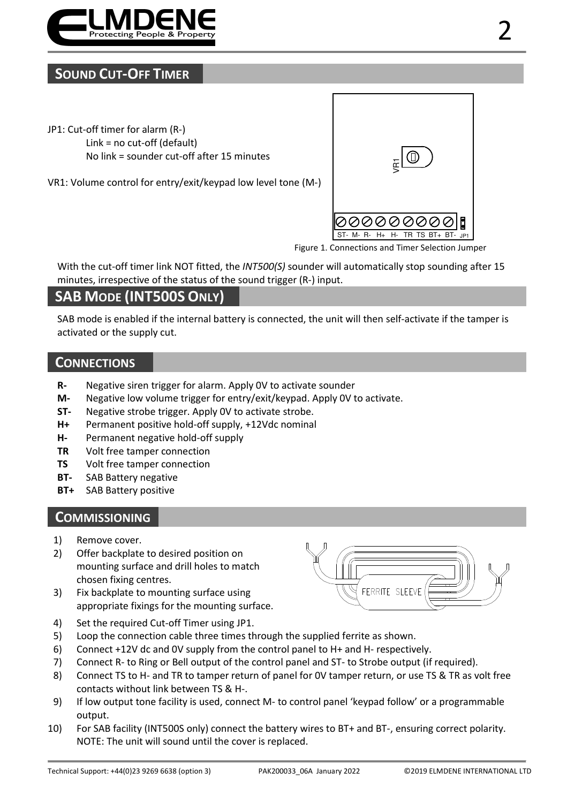

### **SOUND CUT-OFF TIMER**

- JP1: Cut-off timer for alarm (R-) Link = no cut-off (default) No link = sounder cut-off after 15 minutes
- VR1: Volume control for entry/exit/keypad low level tone (M-)



Figure 1. Connections and Timer Selection Jumper

With the cut-off timer link NOT fitted, the *INT500(S)* sounder will automatically stop sounding after 15 minutes, irrespective of the status of the sound trigger (R-) input.

## **SAB MODE (INT500S ONLY)**

SAB mode is enabled if the internal battery is connected, the unit will then self-activate if the tamper is activated or the supply cut.

#### **CONNECTIONS**

- **R-** Negative siren trigger for alarm. Apply 0V to activate sounder
- **M-** Negative low volume trigger for entry/exit/keypad. Apply 0V to activate.
- **ST-** Negative strobe trigger. Apply 0V to activate strobe.
- **H+** Permanent positive hold-off supply, +12Vdc nominal
- **H-** Permanent negative hold-off supply
- **TR** Volt free tamper connection
- **TS** Volt free tamper connection
- **BT-** SAB Battery negative
- **BT+** SAB Battery positive

#### **COMMISSIONING**

- 1) Remove cover.
- 2) Offer backplate to desired position on mounting surface and drill holes to match chosen fixing centres.
- 3) Fix backplate to mounting surface using appropriate fixings for the mounting surface.



- 4) Set the required Cut-off Timer using JP1.
- 5) Loop the connection cable three times through the supplied ferrite as shown.
- 6) Connect +12V dc and 0V supply from the control panel to H+ and H- respectively.
- 7) Connect R- to Ring or Bell output of the control panel and ST- to Strobe output (if required).
- 8) Connect TS to H- and TR to tamper return of panel for 0V tamper return, or use TS & TR as volt free contacts without link between TS & H-.
- 9) If low output tone facility is used, connect M- to control panel 'keypad follow' or a programmable output.
- 10) For SAB facility (INT500S only) connect the battery wires to BT+ and BT-, ensuring correct polarity. NOTE: The unit will sound until the cover is replaced.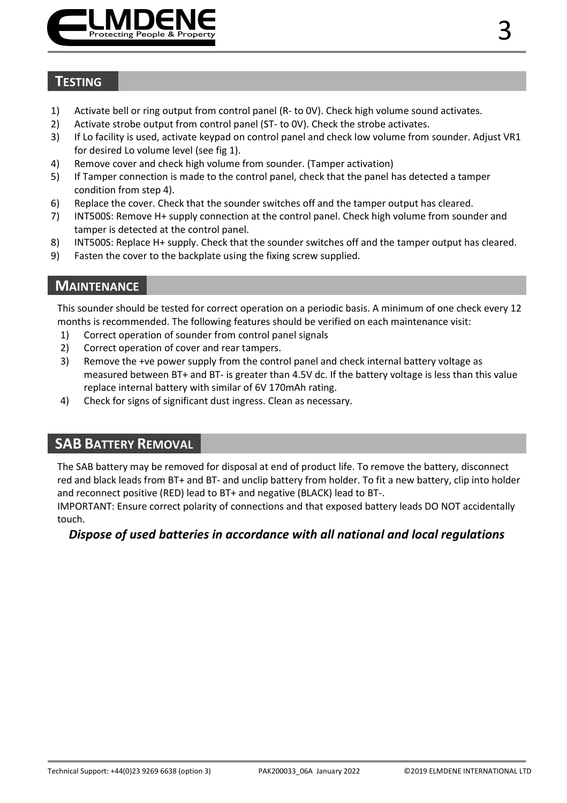

### **TESTING**

- 1) Activate bell or ring output from control panel (R- to 0V). Check high volume sound activates.
- 2) Activate strobe output from control panel (ST- to 0V). Check the strobe activates.
- 3) If Lo facility is used, activate keypad on control panel and check low volume from sounder. Adjust VR1 for desired Lo volume level (see fig 1).
- 4) Remove cover and check high volume from sounder. (Tamper activation)
- 5) If Tamper connection is made to the control panel, check that the panel has detected a tamper condition from step 4).
- 6) Replace the cover. Check that the sounder switches off and the tamper output has cleared.
- 7) INT500S: Remove H+ supply connection at the control panel. Check high volume from sounder and tamper is detected at the control panel.
- 8) INT500S: Replace H+ supply. Check that the sounder switches off and the tamper output has cleared.
- 9) Fasten the cover to the backplate using the fixing screw supplied.

### **MAINTENANCE**

This sounder should be tested for correct operation on a periodic basis. A minimum of one check every 12 months is recommended. The following features should be verified on each maintenance visit:

- 1) Correct operation of sounder from control panel signals
- 2) Correct operation of cover and rear tampers.
- 3) Remove the +ve power supply from the control panel and check internal battery voltage as measured between BT+ and BT- is greater than 4.5V dc. If the battery voltage is less than this value replace internal battery with similar of 6V 170mAh rating.
- 4) Check for signs of significant dust ingress. Clean as necessary.

### **SAB BATTERY REMOVAL**

The SAB battery may be removed for disposal at end of product life. To remove the battery, disconnect red and black leads from BT+ and BT- and unclip battery from holder. To fit a new battery, clip into holder and reconnect positive (RED) lead to BT+ and negative (BLACK) lead to BT-.

IMPORTANT: Ensure correct polarity of connections and that exposed battery leads DO NOT accidentally touch.

#### *Dispose of used batteries in accordance with all national and local regulations*